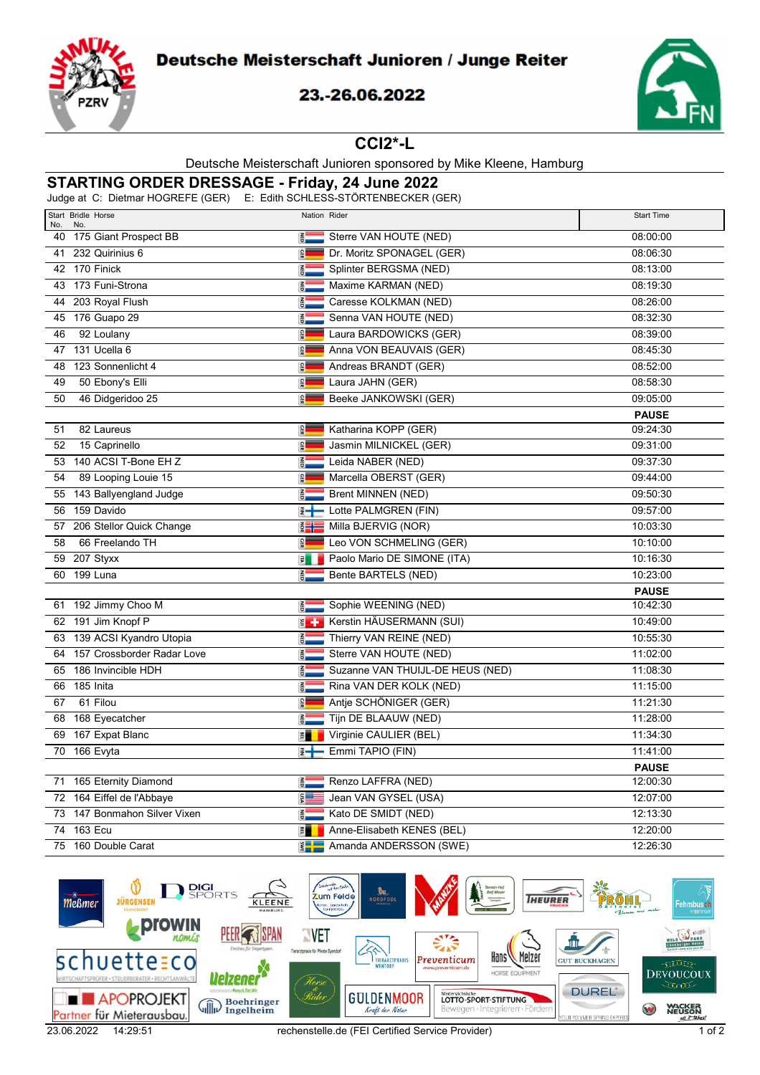

## Deutsche Meisterschaft Junioren / Junge Reiter

### 23.-26.06.2022



#### **CCI2\*-L**

#### Deutsche Meisterschaft Junioren sponsored by Mike Kleene, Hamburg

# **STARTING ORDER DRESSAGE - Friday, 24 June 2022**

Judge at C: Dietmar HOGREFE (GER) E: Edith SCHLESS-STÖRTENBECKER (GER)

| Start Bridle Horse<br>No.<br>No. |                        | Nation Rider                     | <b>Start Time</b> |
|----------------------------------|------------------------|----------------------------------|-------------------|
| 40 175 Giant Prospect BB         | <b>AED</b>             | Sterre VAN HOUTE (NED)           | 08:00:00          |
| 232 Quirinius 6<br>41            | <b>GER</b>             | Dr. Moritz SPONAGEL (GER)        | 08:06:30          |
| 42 170 Finick                    | <b>OBN</b>             | Splinter BERGSMA (NED)           | 08:13:00          |
| 43 173 Funi-Strona               | $\frac{2}{10}$         | Maxime KARMAN (NED)              | 08:19:30          |
| 44 203 Royal Flush               | <b>OBD</b>             | Caresse KOLKMAN (NED)            | 08:26:00          |
| 176 Guapo 29<br>45               | NED                    | Senna VAN HOUTE (NED)            | 08:32:30          |
| 92 Loulany<br>46                 | <b>GER</b>             | Laura BARDOWICKS (GER)           | 08:39:00          |
| 47 131 Ucella 6                  | <b>GER</b>             | Anna VON BEAUVAIS (GER)          | 08:45:30          |
| 48 123 Sonnenlicht 4             | <b>GER</b>             | Andreas BRANDT (GER)             | 08:52:00          |
| 50 Ebony's Elli<br>49            | GER                    | Laura JAHN (GER)                 | 08:58:30          |
| 50<br>46 Didgeridoo 25           | <b>GER</b>             | Beeke JANKOWSKI (GER)            | 09:05:00          |
|                                  |                        |                                  | <b>PAUSE</b>      |
| 82 Laureus<br>51                 | <b>GER</b>             | Katharina KOPP (GER)             | 09:24:30          |
| 52<br>15 Caprinello              | GER                    | Jasmin MILNICKEL (GER)           | 09:31:00          |
| 53 140 ACSI T-Bone EH Z          | <b>RED</b>             | Leida NABER (NED)                | 09:37:30          |
| 54<br>89 Looping Louie 15        | <b>GER</b>             | Marcella OBERST (GER)            | 09:44:00          |
| 55 143 Ballyengland Judge        | $rac{1}{100}$          | <b>Brent MINNEN (NED)</b>        | 09:50:30          |
| 159 Davido<br>56                 |                        | Lotte PALMGREN (FIN)             | 09:57:00          |
| 57 206 Stellor Quick Change      | $\frac{2}{3}$ $+$      | Milla BJERVIG (NOR)              | 10:03:30          |
| 66 Freelando TH<br>58            | <b>GER</b>             | Leo VON SCHMELING (GER)          | 10:10:00          |
| 59 207 Styxx                     | 国                      | Paolo Mario DE SIMONE (ITA)      | 10:16:30          |
| 60 199 Luna                      | NED                    | Bente BARTELS (NED)              | 10:23:00          |
|                                  |                        |                                  | <b>PAUSE</b>      |
| 61 192 Jimmy Choo M              | $rac{z}{\overline{c}}$ | Sophie WEENING (NED)             | 10:42:30          |
| 62 191 Jim Knopf P               | $E +$                  | Kerstin HÄUSERMANN (SUI)         | 10:49:00          |
| 63 139 ACSI Kyandro Utopia       | <b>UED</b>             | Thierry VAN REINE (NED)          | 10:55:30          |
| 64 157 Crossborder Radar Love    | <b>AED</b>             | Sterre VAN HOUTE (NED)           | 11:02:00          |
| 65 186 Invincible HDH            | $\frac{2}{9}$          | Suzanne VAN THUIJL-DE HEUS (NED) | 11:08:30          |
| 66 185 Inita                     | $\frac{2}{10}$         | Rina VAN DER KOLK (NED)          | 11:15:00          |
| 61 Filou<br>67                   | <b>GER</b>             | Antie SCHÖNIGER (GER)            | 11:21:30          |
| 68 168 Eyecatcher                | <b>RED</b>             | Tijn DE BLAAUW (NED)             | 11:28:00          |
| 69 167 Expat Blanc               | 門                      | Virginie CAULIER (BEL)           | 11:34:30          |
| 70 166 Evyta                     | E                      | Emmi TAPIO (FIN)                 | 11:41:00          |
|                                  |                        |                                  | <b>PAUSE</b>      |
| 71 165 Eternity Diamond          | $\frac{2}{9}$          | Renzo LAFFRA (NED)               | 12:00:30          |
| 72 164 Eiffel de l'Abbaye        | vsn<br>                | Jean VAN GYSEL (USA)             | 12:07:00          |
| 73 147 Bonmahon Silver Vixen     | NED                    | Kato DE SMIDT (NED)              | 12:13:30          |
| <b>163 Ecu</b><br>74             | 門                      | Anne-Elisabeth KENES (BEL)       | 12:20:00          |
| 75 160 Double Carat              | $\frac{1}{2}$          | Amanda ANDERSSON (SWE)           | 12:26:30          |